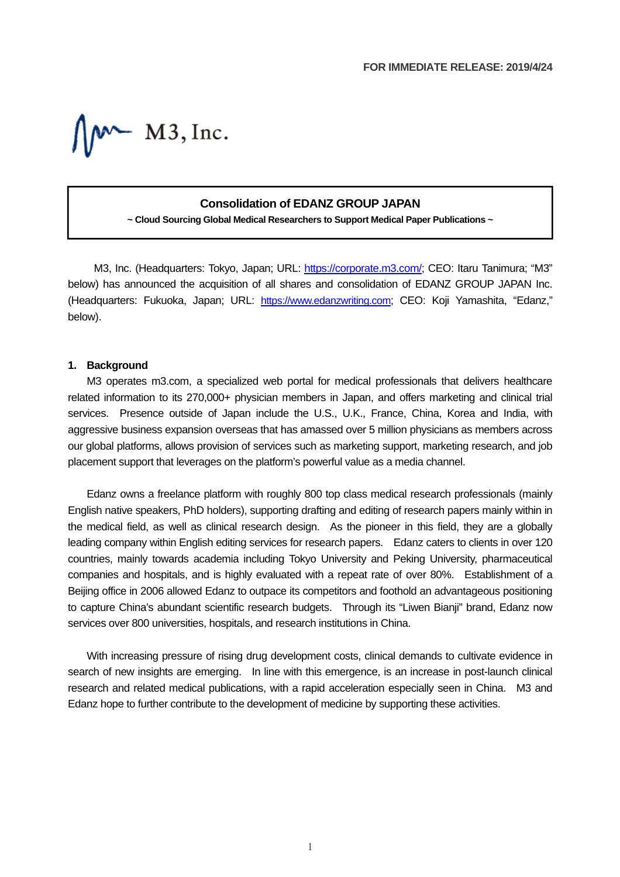$W$  M3, Inc.

## **Consolidation of EDANZ GROUP JAPAN**

**~ Cloud Sourcing Global Medical Researchers to Support Medical Paper Publications ~**

M3, Inc. (Headquarters: Tokyo, Japan; URL: https://corporate.m3.com/; CEO: Itaru Tanimura; "M3" below) has announced the acquisition of all shares and consolidation of EDANZ GROUP JAPAN Inc. (Headquarters: Fukuoka, Japan; URL: https://www.edanzwriting.com; CEO: Koji Yamashita, "Edanz," below).

## **1. Background**

M3 operates m3.com, a specialized web portal for medical professionals that delivers healthcare related information to its 270,000+ physician members in Japan, and offers marketing and clinical trial services. Presence outside of Japan include the U.S., U.K., France, China, Korea and India, with aggressive business expansion overseas that has amassed over 5 million physicians as members across our global platforms, allows provision of services such as marketing support, marketing research, and job placement support that leverages on the platform's powerful value as a media channel.

Edanz owns a freelance platform with roughly 800 top class medical research professionals (mainly English native speakers, PhD holders), supporting drafting and editing of research papers mainly within in the medical field, as well as clinical research design. As the pioneer in this field, they are a globally leading company within English editing services for research papers. Edanz caters to clients in over 120 countries, mainly towards academia including Tokyo University and Peking University, pharmaceutical companies and hospitals, and is highly evaluated with a repeat rate of over 80%. Establishment of a Beijing office in 2006 allowed Edanz to outpace its competitors and foothold an advantageous positioning to capture China's abundant scientific research budgets. Through its "Liwen Bianji" brand, Edanz now services over 800 universities, hospitals, and research institutions in China.

With increasing pressure of rising drug development costs, clinical demands to cultivate evidence in search of new insights are emerging. In line with this emergence, is an increase in post-launch clinical research and related medical publications, with a rapid acceleration especially seen in China. M3 and Edanz hope to further contribute to the development of medicine by supporting these activities.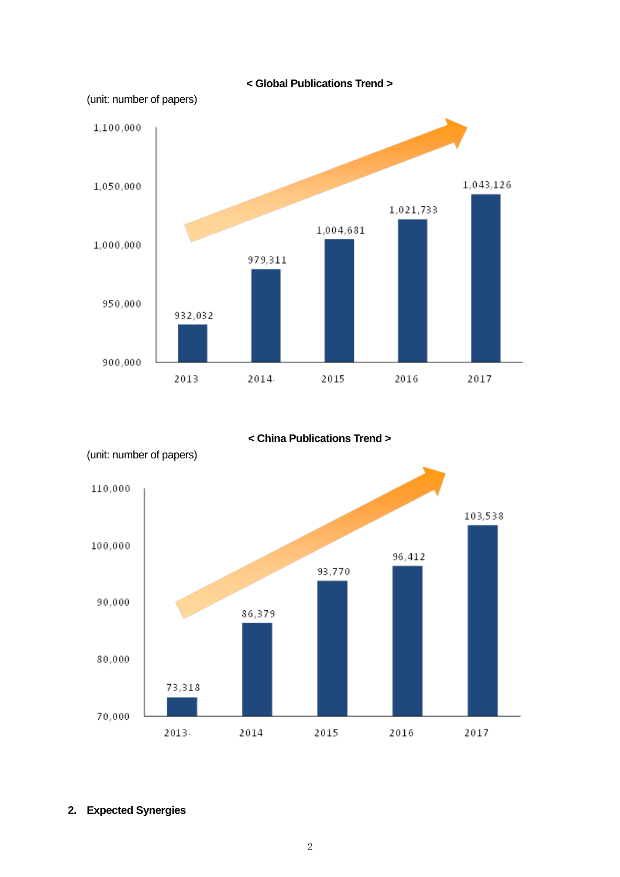

**< China Publications Trend >** 



(unit: number of papers)

## **2. Expected Synergies**